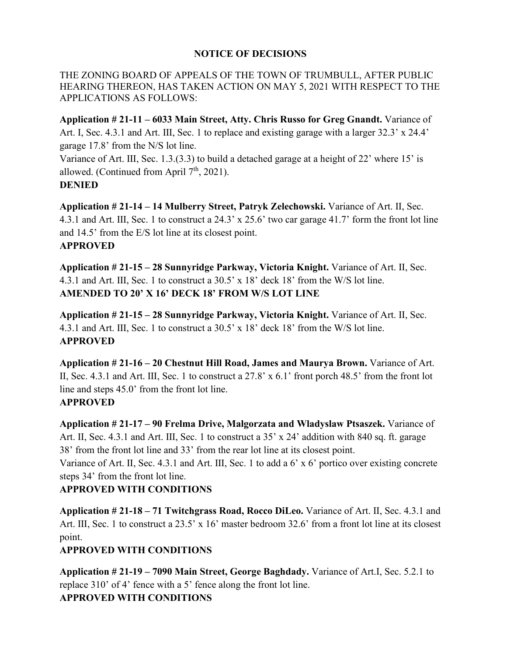### **NOTICE OF DECISIONS**

### THE ZONING BOARD OF APPEALS OF THE TOWN OF TRUMBULL, AFTER PUBLIC HEARING THEREON, HAS TAKEN ACTION ON MAY 5, 2021 WITH RESPECT TO THE APPLICATIONS AS FOLLOWS:

**Application # 21-11 – 6033 Main Street, Atty. Chris Russo for Greg Gnandt.** Variance of Art. I, Sec. 4.3.1 and Art. III, Sec. 1 to replace and existing garage with a larger 32.3' x 24.4' garage 17.8' from the N/S lot line.

Variance of Art. Ⅲ, Sec. 1.3.(3.3) to build a detached garage at a height of 22' where 15' is allowed. (Continued from April  $7<sup>th</sup>$ , 2021).

### **DENIED**

**Application # 21-14 – 14 Mulberry Street, Patryk Zelechowski.** Variance of Art. Ⅱ, Sec. 4.3.1 and Art. Ⅲ, Sec. 1 to construct a 24.3' x 25.6' two car garage 41.7' form the front lot line and 14.5' from the E/S lot line at its closest point. **APPROVED**

**Application # 21-15 – 28 Sunnyridge Parkway, Victoria Knight.** Variance of Art. Ⅱ, Sec. 4.3.1 and Art. Ⅲ, Sec. 1 to construct a 30.5' x 18' deck 18' from the W/S lot line. **AMENDED TO 20' X 16' DECK 18' FROM W/S LOT LINE**

**Application # 21-15 – 28 Sunnyridge Parkway, Victoria Knight.** Variance of Art. Ⅱ, Sec. 4.3.1 and Art. Ⅲ, Sec. 1 to construct a 30.5' x 18' deck 18' from the W/S lot line. **APPROVED** 

**Application # 21-16 – 20 Chestnut Hill Road, James and Maurya Brown.** Variance of Art. Ⅱ, Sec. 4.3.1 and Art. Ⅲ, Sec. 1 to construct a 27.8' x 6.1' front porch 48.5' from the front lot line and steps 45.0' from the front lot line.

# **APPROVED**

**Application # 21-17 – 90 Frelma Drive, Malgorzata and Wladyslaw Ptsaszek.** Variance of Art. II, Sec. 4.3.1 and Art. III, Sec. 1 to construct a 35' x 24' addition with 840 sq. ft. garage 38' from the front lot line and 33' from the rear lot line at its closest point.

Variance of Art. Ⅱ, Sec. 4.3.1 and Art. Ⅲ, Sec. 1 to add a 6' x 6' portico over existing concrete steps 34' from the front lot line.

## **APPROVED WITH CONDITIONS**

**Application # 21-18 – 71 Twitchgrass Road, Rocco DiLeo.** Variance of Art. Ⅱ, Sec. 4.3.1 and Art. III, Sec. 1 to construct a 23.5' x 16' master bedroom 32.6' from a front lot line at its closest point.

### **APPROVED WITH CONDITIONS**

**Application # 21-19 – 7090 Main Street, George Baghdady.** Variance of Art.Ⅰ, Sec. 5.2.1 to replace 310' of 4' fence with a 5' fence along the front lot line. **APPROVED WITH CONDITIONS**